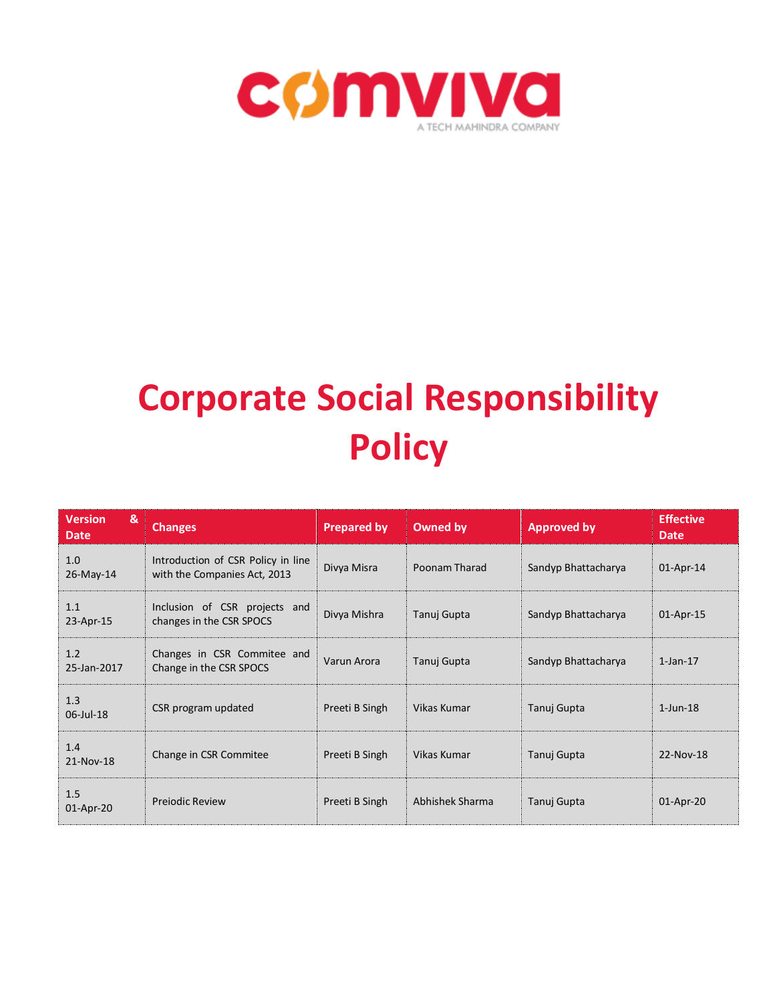

# **Corporate Social Responsibility Policy**

| <b>Version</b><br>&<br><b>Date</b> | <b>Changes</b>                                                     | <b>Prepared by</b> | Owned by        | <b>Approved by</b>  | <b>Effective</b><br><b>Date</b> |
|------------------------------------|--------------------------------------------------------------------|--------------------|-----------------|---------------------|---------------------------------|
| 1.0<br>26-May-14                   | Introduction of CSR Policy in line<br>with the Companies Act, 2013 | Divya Misra        | Poonam Tharad   | Sandyp Bhattacharya | 01-Apr-14                       |
| 1.1<br>23-Apr-15                   | Inclusion of CSR projects and<br>changes in the CSR SPOCS          | Divya Mishra       | Tanuj Gupta     | Sandyp Bhattacharya | 01-Apr-15                       |
| 1.2<br>25-Jan-2017                 | Changes in CSR Commitee and<br>Change in the CSR SPOCS             | Varun Arora        | Tanuj Gupta     | Sandyp Bhattacharya | $1$ -Jan- $17$                  |
| 1.3<br>06-Jul-18                   | CSR program updated                                                | Preeti B Singh     | Vikas Kumar     | Tanuj Gupta         | $1$ -Jun-18                     |
| 1.4<br>21-Nov-18                   | Change in CSR Commitee                                             | Preeti B Singh     | Vikas Kumar     | Tanuj Gupta         | 22-Nov-18                       |
| 1.5<br>01-Apr-20                   | <b>Prejodic Review</b>                                             | Preeti B Singh     | Abhishek Sharma | Tanuj Gupta         | 01-Apr-20                       |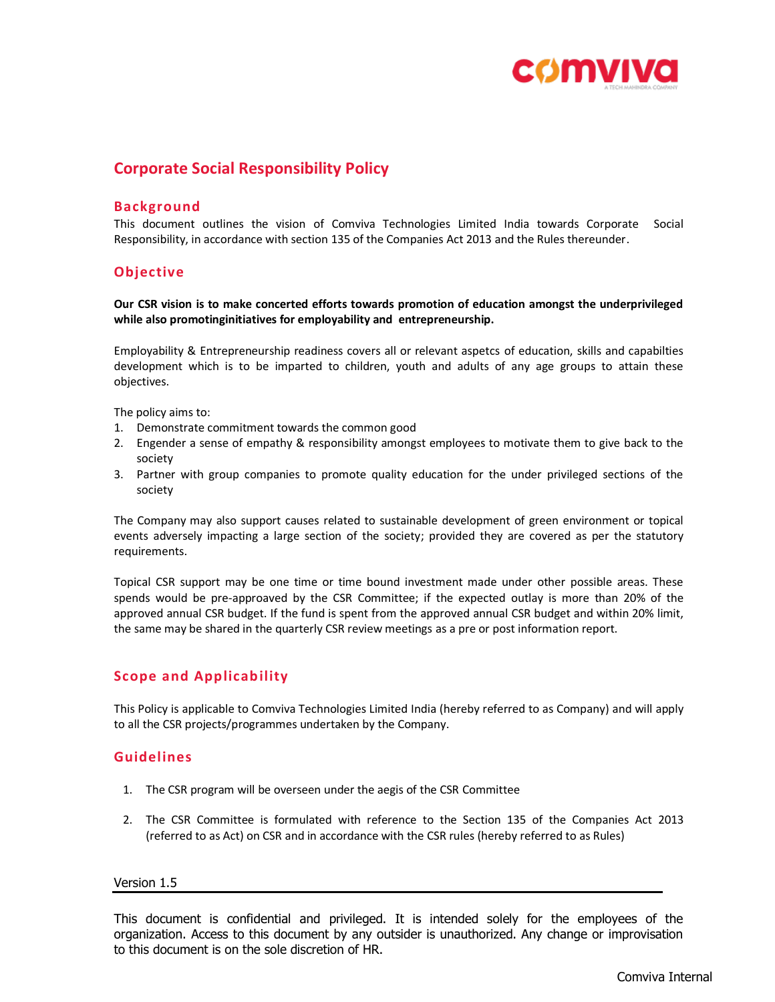

# **Corporate Social Responsibility Policy**

## **Background**

This document outlines the vision of Comviva Technologies Limited India towards Corporate Social Responsibility, in accordance with section 135 of the Companies Act 2013 and the Rules thereunder.

# **Objective**

**Our CSR vision is to make concerted efforts towards promotion of education amongst the underprivileged while also promotinginitiatives for employability and entrepreneurship.**

Employability & Entrepreneurship readiness covers all or relevant aspetcs of education, skills and capabilties development which is to be imparted to children, youth and adults of any age groups to attain these objectives.

The policy aims to:

- 1. Demonstrate commitment towards the common good
- 2. Engender a sense of empathy & responsibility amongst employees to motivate them to give back to the society
- 3. Partner with group companies to promote quality education for the under privileged sections of the society

The Company may also support causes related to sustainable development of green environment or topical events adversely impacting a large section of the society; provided they are covered as per the statutory requirements.

Topical CSR support may be one time or time bound investment made under other possible areas. These spends would be pre-approaved by the CSR Committee; if the expected outlay is more than 20% of the approved annual CSR budget. If the fund is spent from the approved annual CSR budget and within 20% limit, the same may be shared in the quarterly CSR review meetings as a pre or post information report.

# **Scope and Applicability**

This Policy is applicable to Comviva Technologies Limited India (hereby referred to as Company) and will apply to all the CSR projects/programmes undertaken by the Company.

## **Guidelines**

- 1. The CSR program will be overseen under the aegis of the CSR Committee
- 2. The CSR Committee is formulated with reference to the Section 135 of the Companies Act 2013 (referred to as Act) on CSR and in accordance with the CSR rules (hereby referred to as Rules)

#### Version 1.5

This document is confidential and privileged. It is intended solely for the employees of the organization. Access to this document by any outsider is unauthorized. Any change or improvisation to this document is on the sole discretion of HR.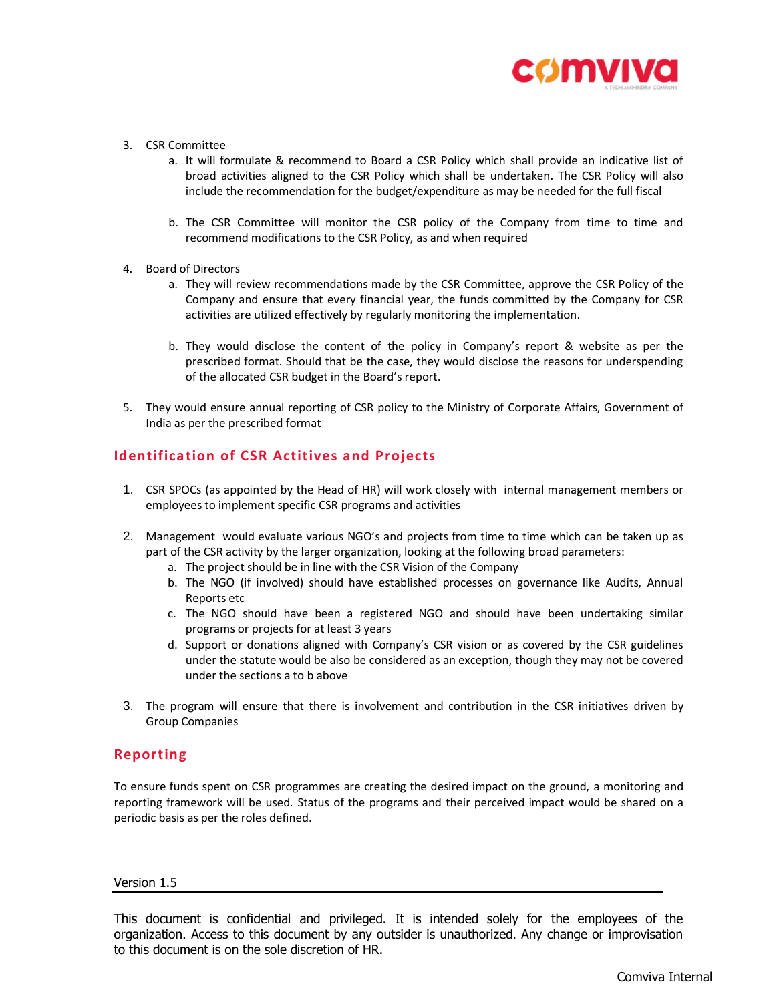

- 3. CSR Committee
	- a. It will formulate & recommend to Board a CSR Policy which shall provide an indicative list of broad activities aligned to the CSR Policy which shall be undertaken. The CSR Policy will also include the recommendation for the budget/expenditure as may be needed for the full fiscal
	- b. The CSR Committee will monitor the CSR policy of the Company from time to time and recommend modifications to the CSR Policy, as and when required
- 4. Board of Directors
	- a. They will review recommendations made by the CSR Committee, approve the CSR Policy of the Company and ensure that every financial year, the funds committed by the Company for CSR activities are utilized effectively by regularly monitoring the implementation.
	- b. They would disclose the content of the policy in Company's report & website as per the prescribed format. Should that be the case, they would disclose the reasons for underspending of the allocated CSR budget in the Board's report.
- 5. They would ensure annual reporting of CSR policy to the Ministry of Corporate Affairs, Government of India as per the prescribed format

# **Identification of CSR Actitives and Projects**

- 1. CSR SPOCs (as appointed by the Head of HR) will work closely with internal management members or employees to implement specific CSR programs and activities
- 2. Management would evaluate various NGO's and projects from time to time which can be taken up as part of the CSR activity by the larger organization, looking at the following broad parameters:
	- a. The project should be in line with the CSR Vision of the Company
	- b. The NGO (if involved) should have established processes on governance like Audits, Annual Reports etc
	- c. The NGO should have been a registered NGO and should have been undertaking similar programs or projects for at least 3 years
	- d. Support or donations aligned with Company's CSR vision or as covered by the CSR guidelines under the statute would be also be considered as an exception, though they may not be covered under the sections a to b above
- 3. The program will ensure that there is involvement and contribution in the CSR initiatives driven by Group Companies

#### **Reporting**

To ensure funds spent on CSR programmes are creating the desired impact on the ground, a monitoring and reporting framework will be used. Status of the programs and their perceived impact would be shared on a periodic basis as per the roles defined.

#### Version 1.5

This document is confidential and privileged. It is intended solely for the employees of the organization. Access to this document by any outsider is unauthorized. Any change or improvisation to this document is on the sole discretion of HR.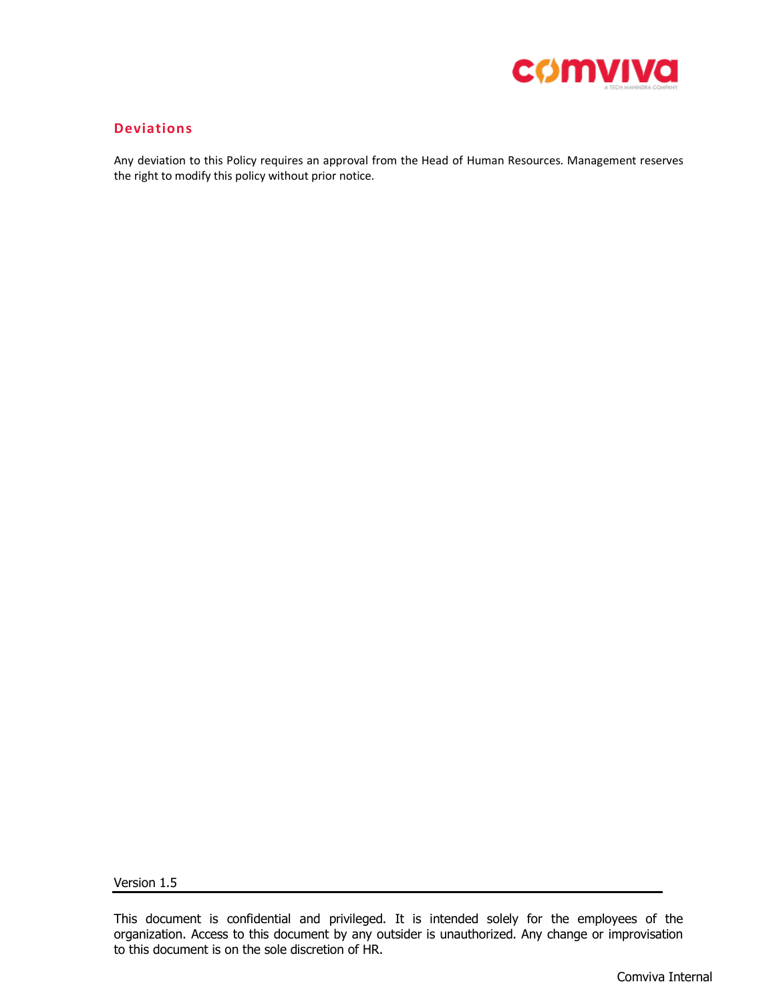

# **Deviations**

Any deviation to this Policy requires an approval from the Head of Human Resources. Management reserves the right to modify this policy without prior notice.

Version 1.5

This document is confidential and privileged. It is intended solely for the employees of the organization. Access to this document by any outsider is unauthorized. Any change or improvisation to this document is on the sole discretion of HR.